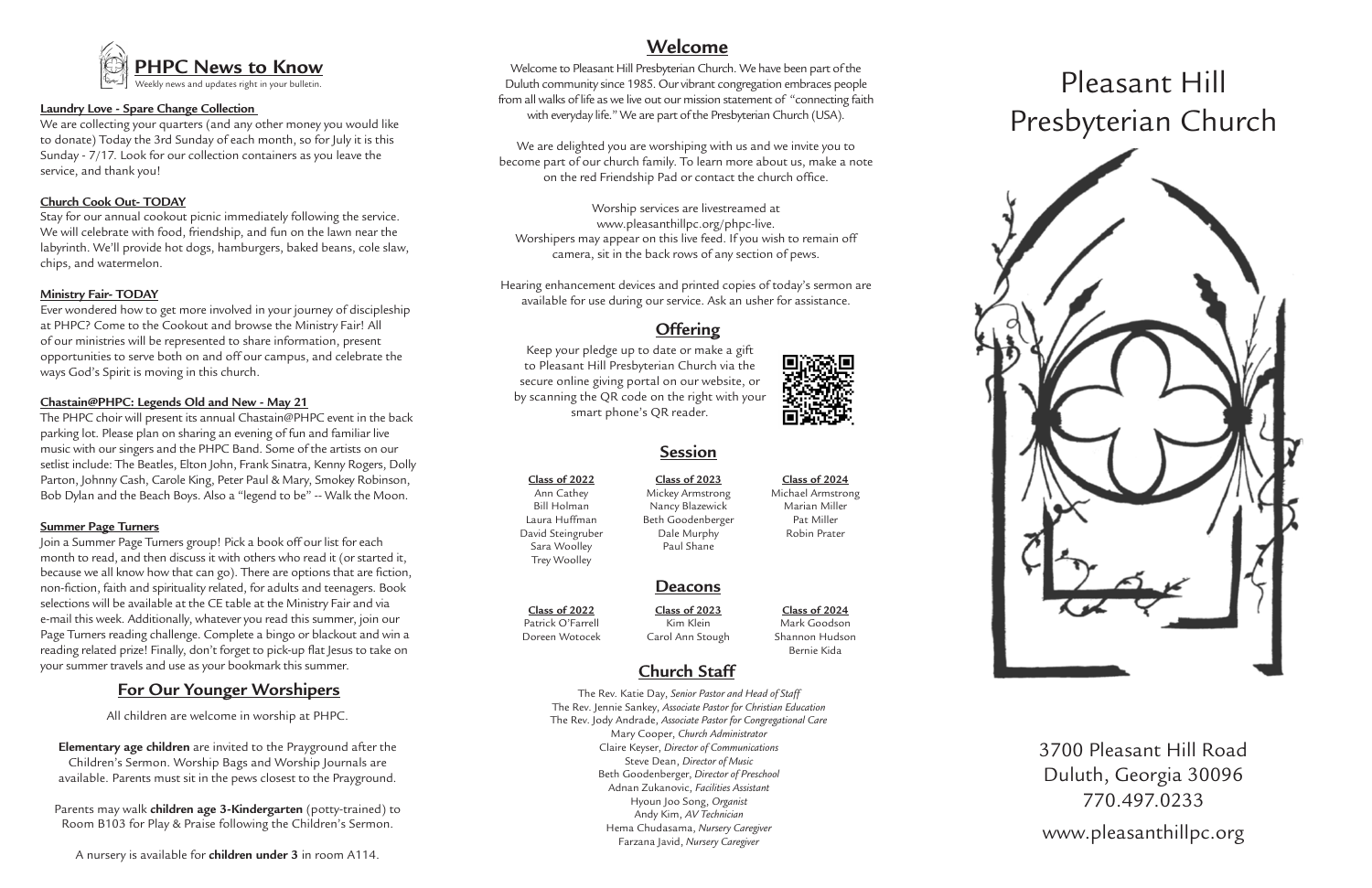# Pleasant Hill Presbyterian Church



3700 Pleasant Hill Road Duluth, Georgia 30096 770.497.0233 www.pleasanthillpc.org



## **Session**

## **Deacons**

**Class of 2022** Ann Cathey

Bill Holman Laura Huffman David Steingruber Sara Woolley Trey Woolley

**Class of 2023** Mickey Armstrong Nancy Blazewick Beth Goodenberger Dale Murphy Paul Shane

#### **Class of 2024** Michael Armstrong Marian Miller Pat Miller Robin Prater

**Class of 2024** Mark Goodson Shannon Hudson Bernie Kida

**Class of 2023** Kim Klein Carol Ann Stough

**Class of 2022** Patrick O'Farrell Doreen Wotocek

# **Church Staff**

The Rev. Katie Day, *Senior Pastor and Head of Staff* The Rev. Jennie Sankey, *Associate Pastor for Christian Education* The Rev. Jody Andrade, *Associate Pastor for Congregational Care* Mary Cooper, *Church Administrator* Claire Keyser, *Director of Communications* Steve Dean, *Director of Music* Beth Goodenberger, *Director of Preschool* Adnan Zukanovic, *Facilities Assistant* Hyoun Joo Song, *Organist* Andy Kim, *AV Technician* Hema Chudasama, *Nursery Caregiver* Farzana Javid, *Nursery Caregiver*



## **Offering**

Keep your pledge up to date or make a gift to Pleasant Hill Presbyterian Church via the secure online giving portal on our website, or by scanning the QR code on the right with your smart phone's QR reader.

Welcome to Pleasant Hill Presbyterian Church. We have been part of the Duluth community since 1985. Our vibrant congregation embraces people from all walks of life as we live out our mission statement of "connecting faith with everyday life." We are part of the Presbyterian Church (USA).

We are delighted you are worshiping with us and we invite you to become part of our church family. To learn more about us, make a note on the red Friendship Pad or contact the church office.

Worship services are livestreamed at www.pleasanthillpc.org/phpc-live. Worshipers may appear on this live feed. If you wish to remain off camera, sit in the back rows of any section of pews.

Hearing enhancement devices and printed copies of today's sermon are available for use during our service. Ask an usher for assistance.

# **Welcome**

#### **Laundry Love - Spare Change Collection**

We are collecting your quarters (and any other money you would like to donate) Today the 3rd Sunday of each month, so for July it is this Sunday - 7/17. Look for our collection containers as you leave the service, and thank you!

#### **Church Cook Out- TODAY**

Stay for our annual cookout picnic immediately following the service. We will celebrate with food, friendship, and fun on the lawn near the labyrinth. We'll provide hot dogs, hamburgers, baked beans, cole slaw, chips, and watermelon.

#### **Ministry Fair- TODAY**

Ever wondered how to get more involved in your journey of discipleship at PHPC? Come to the Cookout and browse the Ministry Fair! All of our ministries will be represented to share information, present opportunities to serve both on and off our campus, and celebrate the ways God's Spirit is moving in this church.

#### **Chastain@PHPC: Legends Old and New - May 21**

The PHPC choir will present its annual Chastain@PHPC event in the back parking lot. Please plan on sharing an evening of fun and familiar live music with our singers and the PHPC Band. Some of the artists on our setlist include: The Beatles, Elton John, Frank Sinatra, Kenny Rogers, Dolly Parton, Johnny Cash, Carole King, Peter Paul & Mary, Smokey Robinson, Bob Dylan and the Beach Boys. Also a "legend to be" -- Walk the Moon.

#### **Summer Page Turners**

Join a Summer Page Turners group! Pick a book off our list for each month to read, and then discuss it with others who read it (or started it, because we all know how that can go). There are options that are fiction, non-fiction, faith and spirituality related, for adults and teenagers. Book selections will be available at the CE table at the Ministry Fair and via e-mail this week. Additionally, whatever you read this summer, join our Page Turners reading challenge. Complete a bingo or blackout and win a reading related prize! Finally, don't forget to pick-up flat Jesus to take on your summer travels and use as your bookmark this summer.

## **For Our Younger Worshipers**

All children are welcome in worship at PHPC.

**Elementary age children** are invited to the Prayground after the Children's Sermon. Worship Bags and Worship Journals are available. Parents must sit in the pews closest to the Prayground.

Parents may walk **children age 3-Kindergarten** (potty-trained) to Room B103 for Play & Praise following the Children's Sermon.